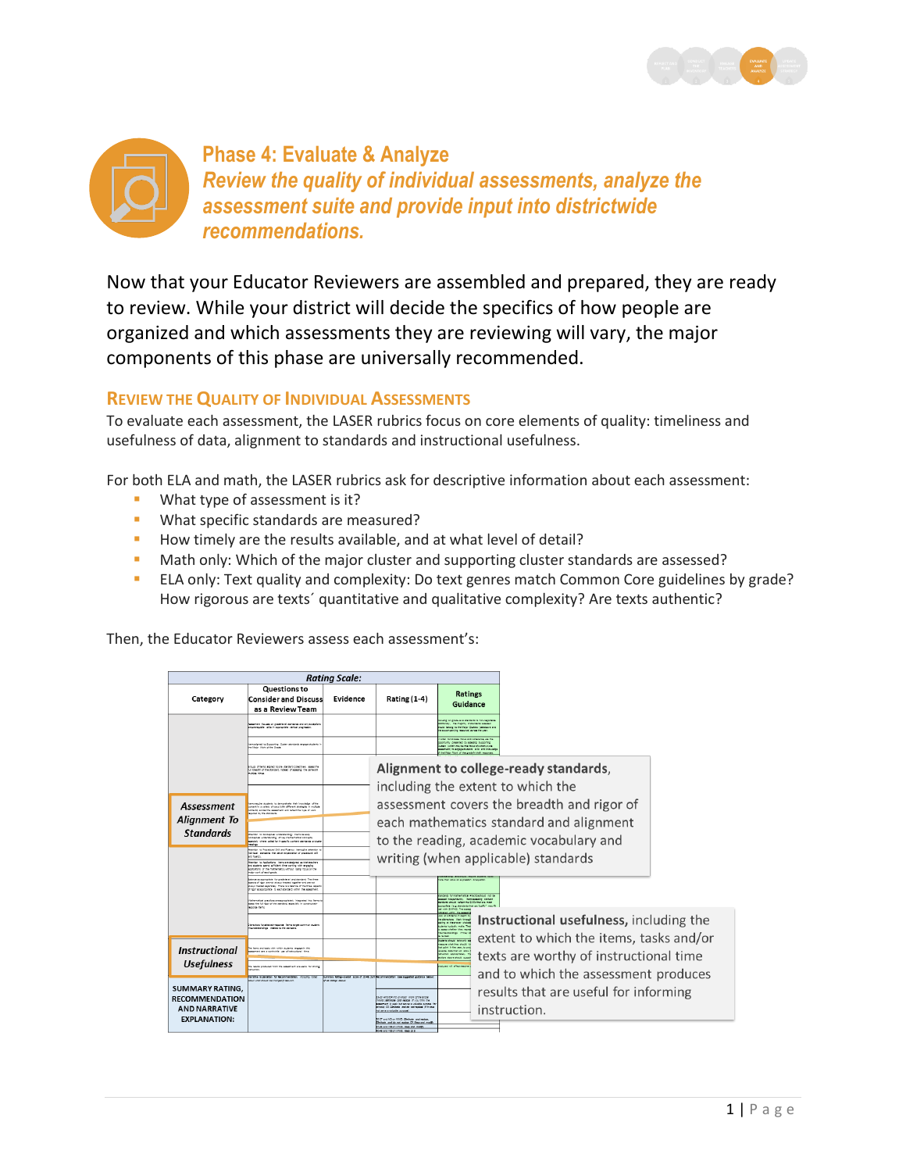



Now that your Educator Reviewers are assembled and prepared, they are ready to review. While your district will decide the specifics of how people are organized and which assessments they are reviewing will vary, the major components of this phase are universally recommended.

# **REVIEW THE QUALITY OF INDIVIDUAL ASSESSMENTS**

To evaluate each assessment, the LASER rubrics focus on core elements of quality: timeliness and usefulness of data, alignment to standards and instructional usefulness.

For both ELA and math, the LASER rubrics ask for descriptive information about each assessment:

- **What type of assessment is it?**
- **What specific standards are measured?**
- How timely are the results available, and at what level of detail?
- Math only: Which of the major cluster and supporting cluster standards are assessed?
- ELA only: Text quality and complexity: Do text genres match Common Core guidelines by grade? How rigorous are texts´ quantitative and qualitative complexity? Are texts authentic?

Then, the Educator Reviewers assess each assessment's:

| <b>Rating Scale:</b>                                                                    |                                                                                                                                                                                                                                                                                                                                                                               |                       |                                                                                                                                                                                                                                                                                    |                                                                                                                                                                                                                                          |  |                                                                                    |  |
|-----------------------------------------------------------------------------------------|-------------------------------------------------------------------------------------------------------------------------------------------------------------------------------------------------------------------------------------------------------------------------------------------------------------------------------------------------------------------------------|-----------------------|------------------------------------------------------------------------------------------------------------------------------------------------------------------------------------------------------------------------------------------------------------------------------------|------------------------------------------------------------------------------------------------------------------------------------------------------------------------------------------------------------------------------------------|--|------------------------------------------------------------------------------------|--|
| Category                                                                                | Questions to<br><b>Consider and Discuss</b><br>as a Review Team                                                                                                                                                                                                                                                                                                               | Evidence              | <b>Rating (1-4)</b>                                                                                                                                                                                                                                                                | <b>Ratings</b><br>Guidance                                                                                                                                                                                                               |  |                                                                                    |  |
|                                                                                         | <b>Institute for the control of the first and structure</b><br>represente alle in sponsoriste vertical progression                                                                                                                                                                                                                                                            |                       |                                                                                                                                                                                                                                                                                    | salva on erada laugi standarda la non-nascitable<br>shoraly, the matchy of gandards agenced<br>tuld belong to the Vision Custom (see shows and<br>to accompanying resource) across the year                                              |  |                                                                                    |  |
|                                                                                         | tempelated to Supportive, Custom standards ensure students 1<br>he Major Work of the Grade                                                                                                                                                                                                                                                                                    |                       |                                                                                                                                                                                                                                                                                    | ander to homest focus and coherence, use the<br>primacult presented to seeker of turns<br>dare (which may be the focus of a morn-cycle<br>seament to engage sudents' site and knowledge<br>the Major Work of the product thair responses |  |                                                                                    |  |
|                                                                                         | must of have algoed to one standard collectively seem the<br>of breath of the standard, indeed of squadry. the come of<br>ultra times                                                                                                                                                                                                                                         |                       |                                                                                                                                                                                                                                                                                    | Alignment to college-ready standards,                                                                                                                                                                                                    |  |                                                                                    |  |
| <b>Assessment</b>                                                                       | between more to determine that inquisite of the<br>antent in a verbin of sous liably different strategies in multiple<br>through to anyther artists had restaurant art summer information<br>singl to the mentants                                                                                                                                                            |                       | including the extent to which the<br>assessment covers the breadth and rigor of                                                                                                                                                                                                    |                                                                                                                                                                                                                                          |  |                                                                                    |  |
| <b>Alignment To</b><br><b>Standards</b>                                                 |                                                                                                                                                                                                                                                                                                                                                                               |                       | each mathematics standard and alignment                                                                                                                                                                                                                                            |                                                                                                                                                                                                                                          |  |                                                                                    |  |
|                                                                                         | Martin to Corporate Undertandry: Terrorisvale<br>conceptual understanding of her mathematical concepts.<br>provide where relatively marita corner members or cluts<br><b>MARINE</b>                                                                                                                                                                                           |                       | to the reading, academic vocabulary and                                                                                                                                                                                                                                            |                                                                                                                                                                                                                                          |  |                                                                                    |  |
|                                                                                         | Imenton to Procedural Skill and Fluency; Immagive attention to<br>shittagi atandanis that senan acceptation of omeganized still<br>and fluency<br>Stantian to Applications: Insme are dedgred as their teachers<br>and students spend sufficient time upsting with engaging<br>explosions of the mathematics, without losing focus on the<br><b>Halar case to inact prace</b> |                       | writing (when applicable) standards                                                                                                                                                                                                                                                |                                                                                                                                                                                                                                          |  |                                                                                    |  |
|                                                                                         | solarce as appropriate for predelevel and standard. The three-<br>spects of rigor anenot always treated together and are not<br><b>Company Constant Andrew Company of the United States And Company Associates And Company Associates And Company</b><br>If for seappoints to eschaping with the squarrent.                                                                   |                       |                                                                                                                                                                                                                                                                                    | note than shire an accessible, or accessible<br>and the fact father after finance should not be                                                                                                                                          |  |                                                                                    |  |
|                                                                                         | Abstramatical cractices are accrositately integrated into items i<br>eses the full ripor of the standard, especially in constructed-<br>soone tens                                                                                                                                                                                                                            |                       |                                                                                                                                                                                                                                                                                    | and Interestants. Increasedne compri-<br>andural should influence are that are made<br>comprison like standards that any battly" may<br>and sales drug ads. The same<br>distant within the agents                                        |  |                                                                                    |  |
|                                                                                         | leader foreledel-reports handlaget common duder<br>Sundamientings related to the dandard.                                                                                                                                                                                                                                                                                     |                       |                                                                                                                                                                                                                                                                                    | and at 4.5 have in starts to<br>he detectors. Work through<br>soling at the answer choices<br>suberts tustcally make. The<br><b>STATE UNITED THE TERM</b><br><b>Nunderstandings</b> (Filhey de<br><b>Between</b>                         |  | Instructional usefulness, including the<br>extent to which the items, tasks and/or |  |
| <b>Instructional</b>                                                                    | The hand and radio units unlink mutants, annuncle this<br>senant are a controlled use of indications: three                                                                                                                                                                                                                                                                   |                       |                                                                                                                                                                                                                                                                                    | udents should take only as:<br>sears what they should it<br>hat point in the year, to org<br>solar the terms of side.<br><b>Mitchell appropriately.</b> Th<br>fore shows should support                                                  |  | texts are worthy of instructional time                                             |  |
| <b>Usefulness</b>                                                                       | The results conducted from the seasonary are useful for sidely<br>tructor<br>wretty Drakratke for facenveardation. Incuting natur                                                                                                                                                                                                                                             |                       | bunnery father-scent later of 1248, Due Baconmandities. (see suggested guideries belo                                                                                                                                                                                              | <b>CONTRACT AND APPROXIMATES</b>                                                                                                                                                                                                         |  | and to which the assessment produces                                               |  |
| SUMMARY RATING.<br><b>RECOMMENDATION</b><br><b>AND NARRATIVE</b><br><b>EXPLANATION:</b> | bout what should be changed if relevant.                                                                                                                                                                                                                                                                                                                                      | of oil ratings above: | 23-30 AND/OR AO en Maler Werk of the Ernor<br>MIGL Zeebale, and realize (7 cas think the<br>septent it wash but serves a valuable purpose 1<br>health Cft City/bade, and do not resident IT 5 does<br>(espaya) eldester e nes tor<br>ED-27 and NO-an 10102; EBritishe and register |                                                                                                                                                                                                                                          |  | results that are useful for informing<br>instruction.                              |  |
|                                                                                         |                                                                                                                                                                                                                                                                                                                                                                               |                       | Siminate and do not replace CR Feep and modify<br>1-29 and 193 on Mills, Rees and modify                                                                                                                                                                                           |                                                                                                                                                                                                                                          |  |                                                                                    |  |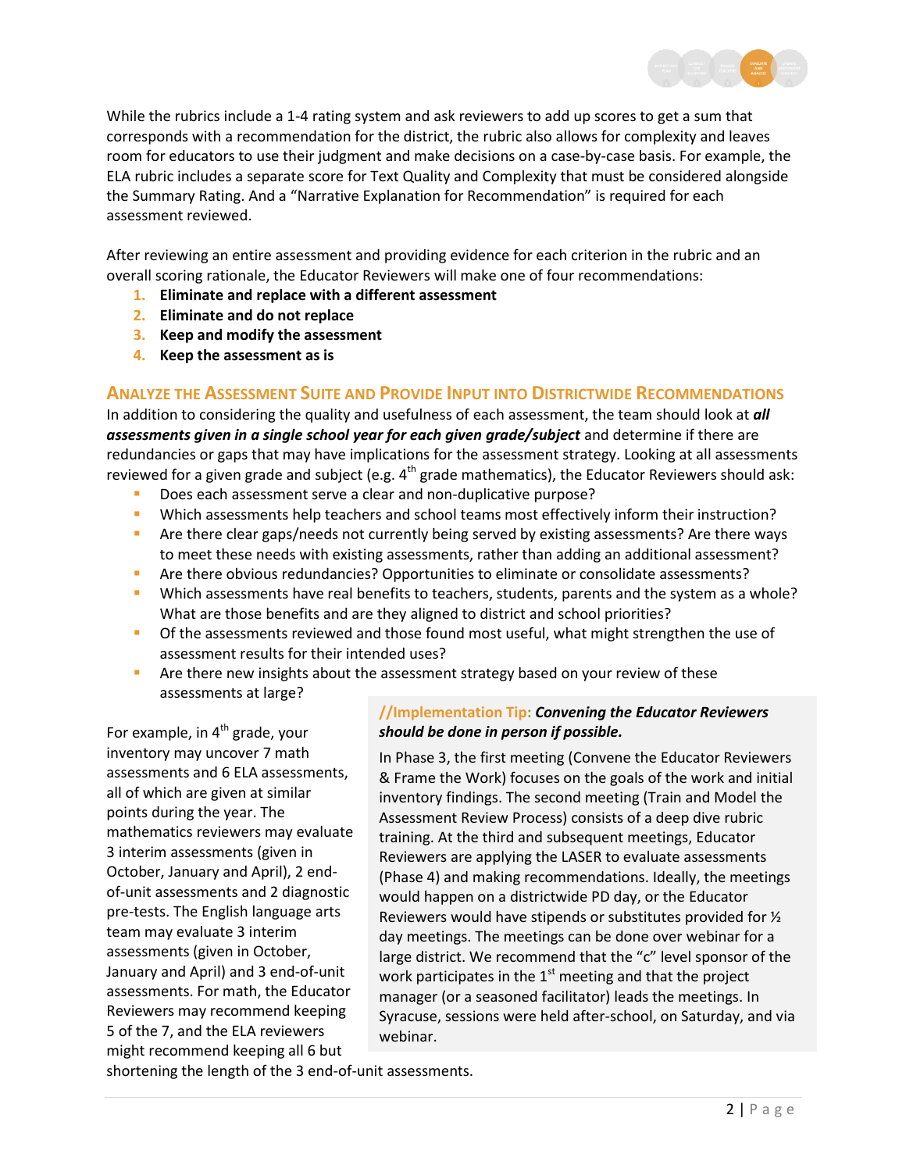

While the rubrics include a 1-4 rating system and ask reviewers to add up scores to get a sum that corresponds with a recommendation for the district, the rubric also allows for complexity and leaves room for educators to use their judgment and make decisions on a case-by-case basis. For example, the ELA rubric includes a separate score for Text Quality and Complexity that must be considered alongside the Summary Rating. And a "Narrative Explanation for Recommendation" is required for each assessment reviewed.

After reviewing an entire assessment and providing evidence for each criterion in the rubric and an overall scoring rationale, the Educator Reviewers will make one of four recommendations:

- **1. Eliminate and replace with a different assessment**
- **2. Eliminate and do not replace**
- **3. Keep and modify the assessment**
- **4. Keep the assessment as is**

# **ANALYZE THE ASSESSMENT SUITE AND PROVIDE INPUT INTO DISTRICTWIDE RECOMMENDATIONS**

In addition to considering the quality and usefulness of each assessment, the team should look at *all assessments given in a single school year for each given grade/subject* and determine if there are redundancies or gaps that may have implications for the assessment strategy. Looking at all assessments reviewed for a given grade and subject (e.g.  $4^{th}$  grade mathematics), the Educator Reviewers should ask:

- Does each assessment serve a clear and non-duplicative purpose?
- Which assessments help teachers and school teams most effectively inform their instruction?
- **•** Are there clear gaps/needs not currently being served by existing assessments? Are there ways to meet these needs with existing assessments, rather than adding an additional assessment?
- Are there obvious redundancies? Opportunities to eliminate or consolidate assessments?
- Which assessments have real benefits to teachers, students, parents and the system as a whole? What are those benefits and are they aligned to district and school priorities?
- **Of the assessments reviewed and those found most useful, what might strengthen the use of** assessment results for their intended uses?
- **Are there new insights about the assessment strategy based on your review of these** assessments at large?

For example, in  $4<sup>th</sup>$  grade, your inventory may uncover 7 math assessments and 6 ELA assessments, all of which are given at similar points during the year. The mathematics reviewers may evaluate 3 interim assessments (given in October, January and April), 2 endof-unit assessments and 2 diagnostic pre-tests. The English language arts team may evaluate 3 interim assessments (given in October, January and April) and 3 end-of-unit assessments. For math, the Educator Reviewers may recommend keeping 5 of the 7, and the ELA reviewers might recommend keeping all 6 but

# **//Implementation Tip:** *Convening the Educator Reviewers should be done in person if possible.*

In Phase 3, the first meeting (Convene the Educator Reviewers & Frame the Work) focuses on the goals of the work and initial inventory findings. The second meeting (Train and Model the Assessment Review Process) consists of a deep dive rubric training. At the third and subsequent meetings, Educator Reviewers are applying the LASER to evaluate assessments (Phase 4) and making recommendations. Ideally, the meetings would happen on a districtwide PD day, or the Educator Reviewers would have stipends or substitutes provided for ½ day meetings. The meetings can be done over webinar for a large district. We recommend that the "c" level sponsor of the work participates in the  $1<sup>st</sup>$  meeting and that the project manager (or a seasoned facilitator) leads the meetings. In Syracuse, sessions were held after-school, on Saturday, and via webinar.

shortening the length of the 3 end-of-unit assessments.